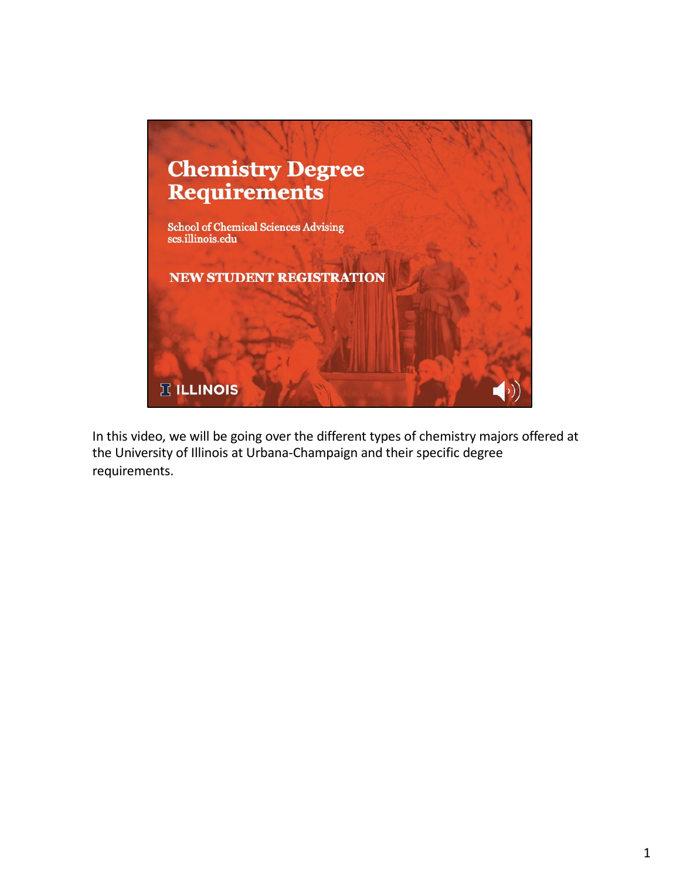

In this video, we will be going over the different types of chemistry majors offered at the University of Illinois at Urbana-Champaign and their specific degree requirements.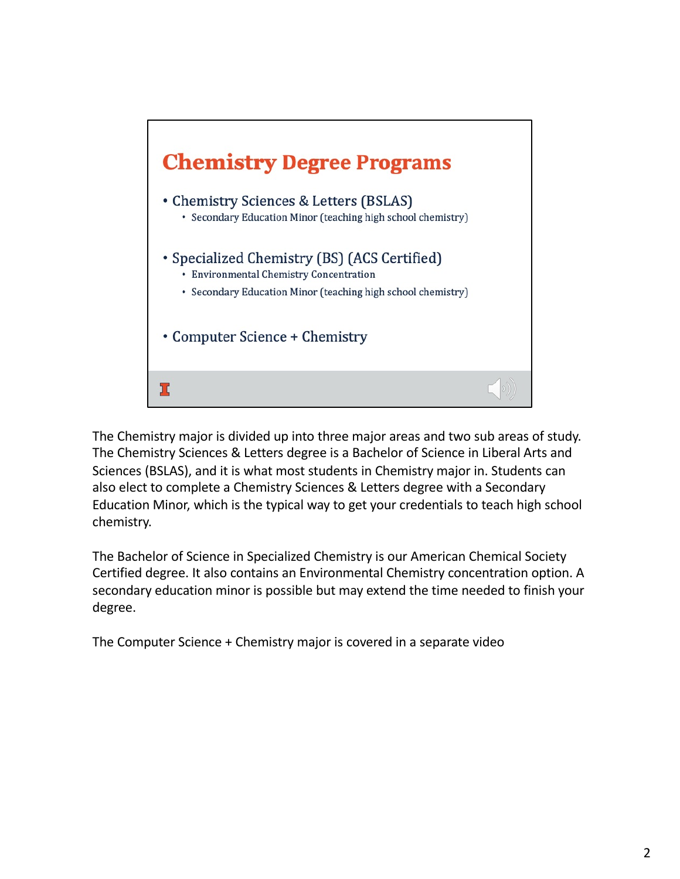

The Chemistry major is divided up into three major areas and two sub areas of study. The Chemistry Sciences & Letters degree is a Bachelor of Science in Liberal Arts and Sciences (BSLAS), and it is what most students in Chemistry major in. Students can also elect to complete a Chemistry Sciences & Letters degree with a Secondary Education Minor, which is the typical way to get your credentials to teach high school chemistry.

The Bachelor of Science in Specialized Chemistry is our American Chemical Society Certified degree. It also contains an Environmental Chemistry concentration option. A secondary education minor is possible but may extend the time needed to finish your degree.

The Computer Science + Chemistry major is covered in a separate video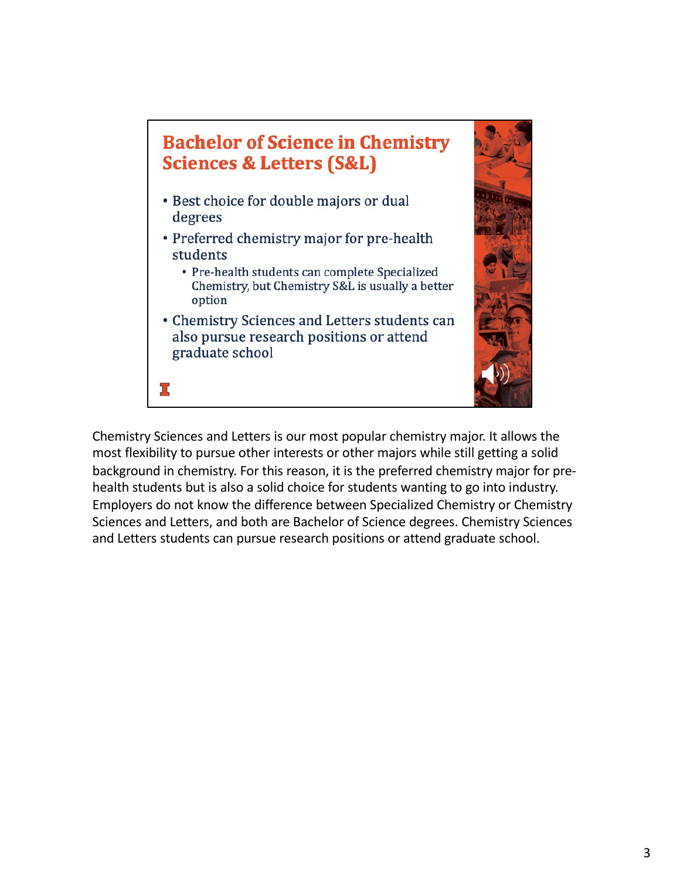## **Bachelor of Science in Chemistry Sciences & Letters (S&L)**

- · Best choice for double majors or dual degrees
- Preferred chemistry major for pre-health students
	- Pre-health students can complete Specialized Chemistry, but Chemistry S&L is usually a better option
- Chemistry Sciences and Letters students can also pursue research positions or attend graduate school



ב (

Chemistry Sciences and Letters is our most popular chemistry major. It allows the most flexibility to pursue other interests or other majors while still getting a solid background in chemistry. For this reason, it is the preferred chemistry major for prehealth students but is also a solid choice for students wanting to go into industry. Employers do not know the difference between Specialized Chemistry or Chemistry Sciences and Letters, and both are Bachelor of Science degrees. Chemistry Sciences and Letters students can pursue research positions or attend graduate school.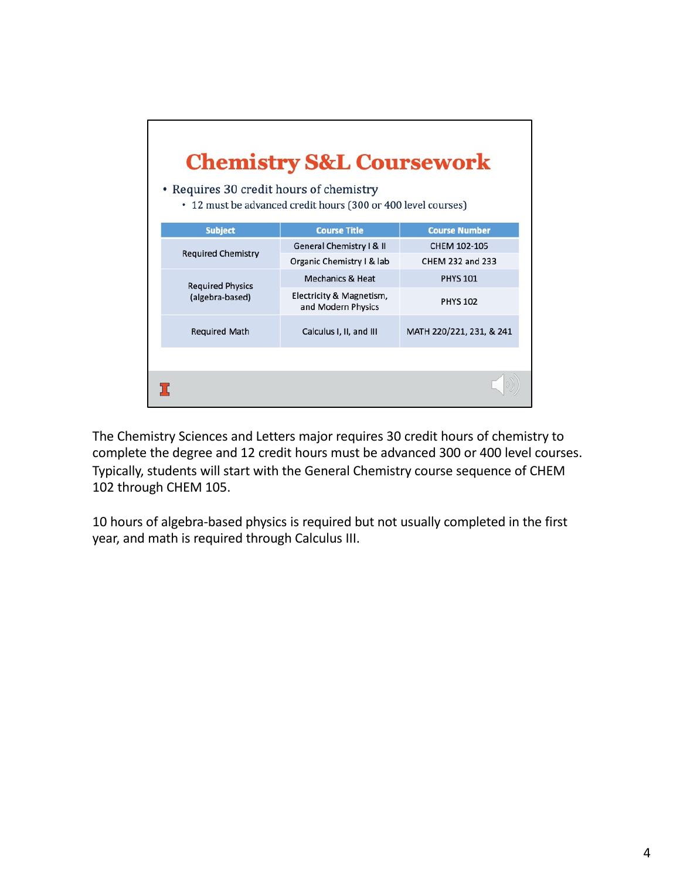| <b>Chemistry S&amp;L Coursework</b><br>• Requires 30 credit hours of chemistry<br>• 12 must be advanced credit hours (300 or 400 level courses) |                                                |                          |  |  |
|-------------------------------------------------------------------------------------------------------------------------------------------------|------------------------------------------------|--------------------------|--|--|
| <b>Subject</b>                                                                                                                                  | <b>Course Title</b>                            | <b>Course Number</b>     |  |  |
|                                                                                                                                                 | General Chemistry   &                          | CHEM 102-105             |  |  |
| <b>Required Chemistry</b>                                                                                                                       | Organic Chemistry I & lab                      | CHEM 232 and 233         |  |  |
| <b>Required Physics</b>                                                                                                                         | <b>Mechanics &amp; Heat</b>                    | <b>PHYS 101</b>          |  |  |
| (algebra-based)                                                                                                                                 | Electricity & Magnetism,<br>and Modern Physics | <b>PHYS 102</b>          |  |  |
| <b>Required Math</b>                                                                                                                            | Calculus I, II, and III                        | MATH 220/221, 231, & 241 |  |  |
|                                                                                                                                                 |                                                |                          |  |  |
|                                                                                                                                                 |                                                |                          |  |  |

The Chemistry Sciences and Letters major requires 30 credit hours of chemistry to complete the degree and 12 credit hours must be advanced 300 or 400 level courses. Typically, students will start with the General Chemistry course sequence of CHEM 102 through CHEM 105.

10 hours of algebra-based physics is required but not usually completed in the first year, and math is required through Calculus III.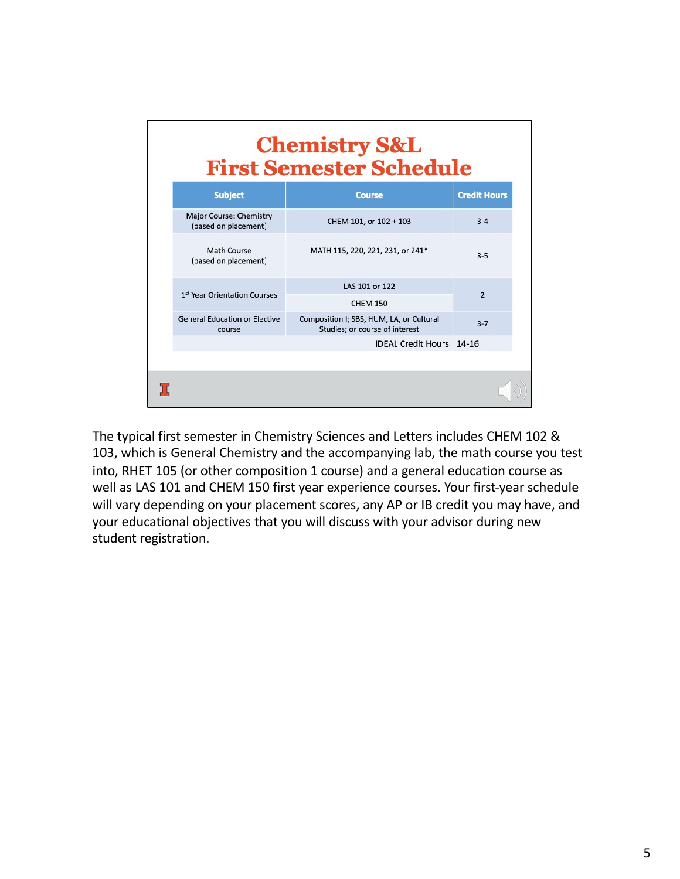| <b>Chemistry S&amp;L</b><br><b>First Semester Schedule</b> |                                                                            |                     |  |  |
|------------------------------------------------------------|----------------------------------------------------------------------------|---------------------|--|--|
| <b>Subject</b>                                             | <b>Course</b>                                                              | <b>Credit Hours</b> |  |  |
| Major Course: Chemistry<br>(based on placement)            | CHEM 101, or 102 + 103                                                     | $3 - 4$             |  |  |
| Math Course<br>(based on placement)                        | MATH 115, 220, 221, 231, or 241*                                           | $3 - 5$             |  |  |
| 1st Year Orientation Courses                               | LAS 101 or 122                                                             | $\overline{2}$      |  |  |
|                                                            | <b>CHEM 150</b>                                                            |                     |  |  |
| <b>General Education or Elective</b><br>course             | Composition I; SBS, HUM, LA, or Cultural<br>Studies; or course of interest | $3 - 7$             |  |  |
|                                                            | <b>IDEAL Credit Hours 14-16</b>                                            |                     |  |  |
|                                                            |                                                                            |                     |  |  |
|                                                            |                                                                            |                     |  |  |

The typical first semester in Chemistry Sciences and Letters includes CHEM 102 & 103, which is General Chemistry and the accompanying lab, the math course you test into, RHET 105 (or other composition 1 course) and a general education course as well as LAS 101 and CHEM 150 first year experience courses. Your first-year schedule will vary depending on your placement scores, any AP or IB credit you may have, and your educational objectives that you will discuss with your advisor during new student registration.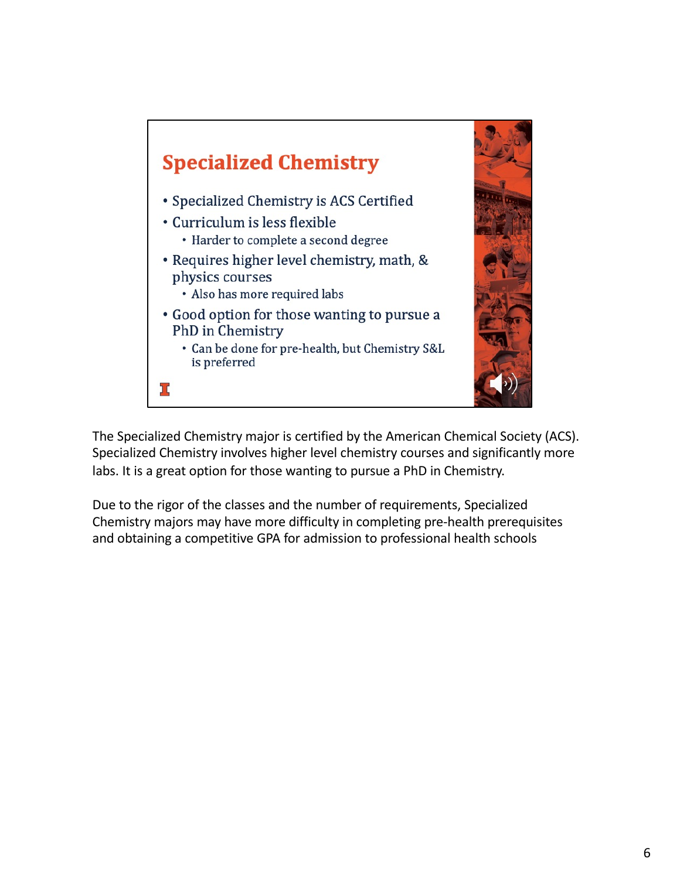

The Specialized Chemistry major is certified by the American Chemical Society (ACS). Specialized Chemistry involves higher level chemistry courses and significantly more labs. It is a great option for those wanting to pursue a PhD in Chemistry.

Due to the rigor of the classes and the number of requirements, Specialized Chemistry majors may have more difficulty in completing pre-health prerequisites and obtaining a competitive GPA for admission to professional health schools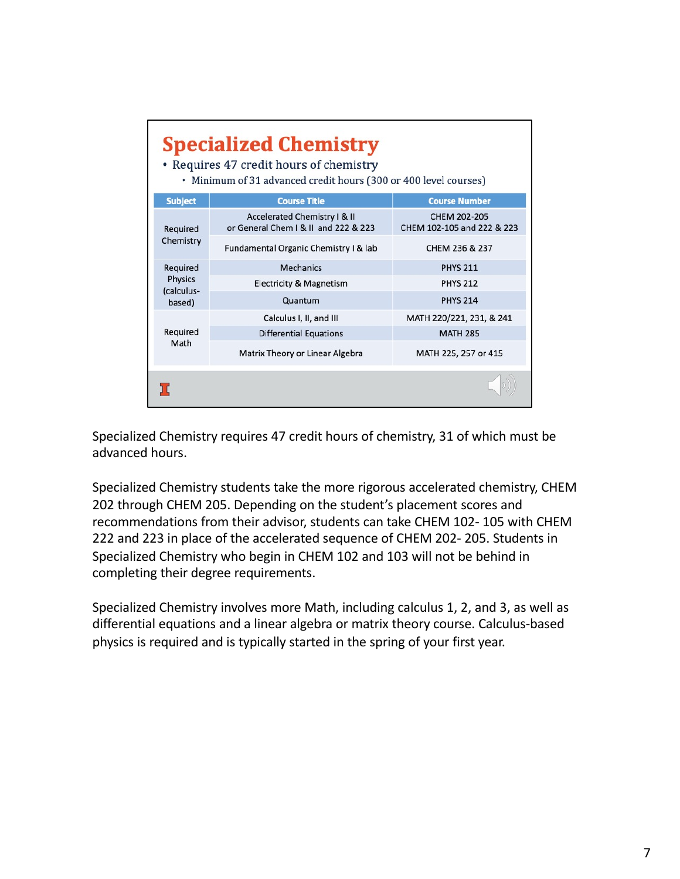|                              | <b>Specialized Chemistry</b><br>• Requires 47 credit hours of chemistry<br>• Minimum of 31 advanced credit hours (300 or 400 level courses) |                                            |  |  |  |  |
|------------------------------|---------------------------------------------------------------------------------------------------------------------------------------------|--------------------------------------------|--|--|--|--|
| <b>Subject</b>               | <b>Course Title</b>                                                                                                                         | <b>Course Number</b>                       |  |  |  |  |
| Required                     | Accelerated Chemistry I & II<br>or General Chem   & II and 222 & 223                                                                        | CHEM 202-205<br>CHEM 102-105 and 222 & 223 |  |  |  |  |
| Chemistry                    | Fundamental Organic Chemistry I & lab                                                                                                       | CHEM 236 & 237                             |  |  |  |  |
| Required                     | <b>Mechanics</b>                                                                                                                            | <b>PHYS 211</b>                            |  |  |  |  |
| <b>Physics</b><br>(calculus- | <b>Electricity &amp; Magnetism</b>                                                                                                          | <b>PHYS 212</b>                            |  |  |  |  |
| based)                       | Quantum                                                                                                                                     | <b>PHYS 214</b>                            |  |  |  |  |
|                              | Calculus I, II, and III                                                                                                                     | MATH 220/221, 231, & 241                   |  |  |  |  |
| Required                     | <b>Differential Equations</b>                                                                                                               | <b>MATH 285</b>                            |  |  |  |  |
| Math                         | Matrix Theory or Linear Algebra                                                                                                             | MATH 225, 257 or 415                       |  |  |  |  |
|                              |                                                                                                                                             |                                            |  |  |  |  |

Specialized Chemistry requires 47 credit hours of chemistry, 31 of which must be advanced hours.

Specialized Chemistry students take the more rigorous accelerated chemistry, CHEM 202 through CHEM 205. Depending on the student's placement scores and recommendations from their advisor, students can take CHEM 102- 105 with CHEM 222 and 223 in place of the accelerated sequence of CHEM 202- 205. Students in Specialized Chemistry who begin in CHEM 102 and 103 will not be behind in completing their degree requirements.

Specialized Chemistry involves more Math, including calculus 1, 2, and 3, as well as differential equations and a linear algebra or matrix theory course. Calculus-based physics is required and is typically started in the spring of your first year.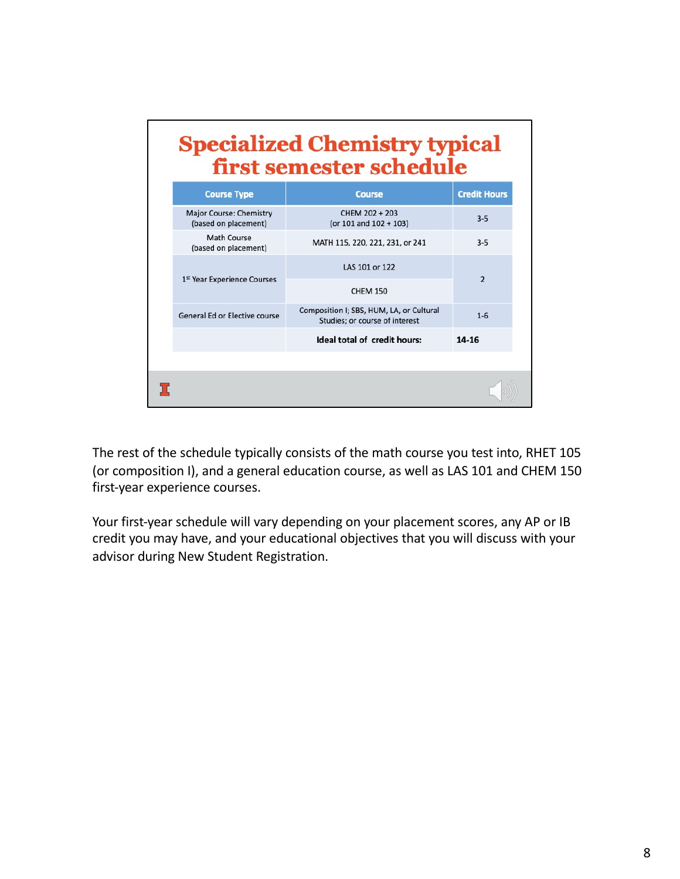| <b>Specialized Chemistry typical</b><br>first semester schedule |                                                                            |                     |  |  |
|-----------------------------------------------------------------|----------------------------------------------------------------------------|---------------------|--|--|
| <b>Course Type</b>                                              | <b>Course</b>                                                              | <b>Credit Hours</b> |  |  |
| <b>Major Course: Chemistry</b><br>(based on placement)          | CHEM 202 + 203<br>(or 101 and 102 + 103)                                   | $3 - 5$             |  |  |
| Math Course<br>(based on placement)                             | MATH 115, 220, 221, 231, or 241                                            | $3 - 5$             |  |  |
| 1st Year Experience Courses                                     | LAS 101 or 122                                                             | $\overline{2}$      |  |  |
|                                                                 | <b>CHEM 150</b>                                                            |                     |  |  |
| General Ed or Elective course                                   | Composition I; SBS, HUM, LA, or Cultural<br>Studies; or course of interest | $1 - 6$             |  |  |
|                                                                 | Ideal total of credit hours:                                               | $14 - 16$           |  |  |
|                                                                 |                                                                            |                     |  |  |
|                                                                 |                                                                            |                     |  |  |

The rest of the schedule typically consists of the math course you test into, RHET 105 (or composition I), and a general education course, as well as LAS 101 and CHEM 150 first-year experience courses.

Your first-year schedule will vary depending on your placement scores, any AP or IB credit you may have, and your educational objectives that you will discuss with your advisor during New Student Registration.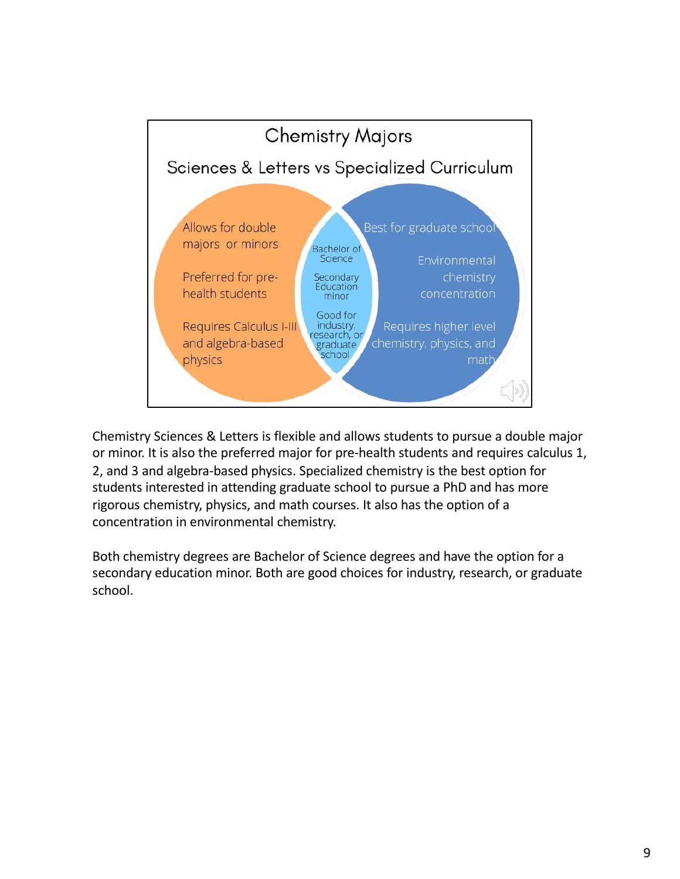

Chemistry Sciences & Letters is flexible and allows students to pursue a double major or minor. It is also the preferred major for pre-health students and requires calculus 1, 2, and 3 and algebra-based physics. Specialized chemistry is the best option for students interested in attending graduate school to pursue a PhD and has more rigorous chemistry, physics, and math courses. It also has the option of a concentration in environmental chemistry.

Both chemistry degrees are Bachelor of Science degrees and have the option for a secondary education minor. Both are good choices for industry, research, or graduate school.